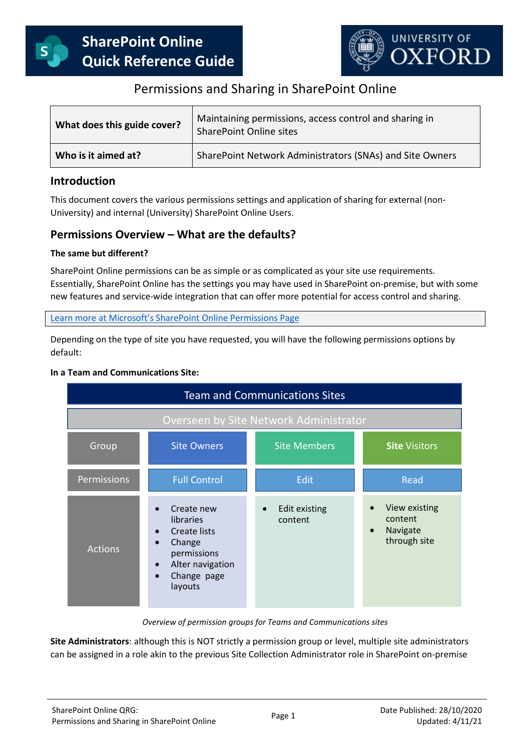

# Permissions and Sharing in SharePoint Online

| What does this guide cover? | Maintaining permissions, access control and sharing in<br><b>SharePoint Online sites</b> |
|-----------------------------|------------------------------------------------------------------------------------------|
| Who is it aimed at?         | SharePoint Network Administrators (SNAs) and Site Owners                                 |

## **Introduction**

This document covers the various permissions settings and application of sharing for external (non-University) and internal (University) SharePoint Online Users.

## **Permissions Overview – What are the defaults?**

### **The same but different?**

SharePoint Online permissions can be as simple or as complicated as your site use requirements. Essentially, SharePoint Online has the settings you may have used in SharePoint on-premise, but with some new features and service-wide integration that can offer more potential for access control and sharing.

Learn more at Microsoft's SharePoint [Online Permissions Page](https://docs.microsoft.com/en-us/sharepoint/modern-experience-sharing-permissions)

Depending on the type of site you have requested, you will have the following permissions options by default:

#### **In a Team and Communications Site:**

| <b>Team and Communications Sites</b>   |                                                                                                                                                        |                                       |                                                                   |  |  |  |
|----------------------------------------|--------------------------------------------------------------------------------------------------------------------------------------------------------|---------------------------------------|-------------------------------------------------------------------|--|--|--|
| Overseen by Site Network Administrator |                                                                                                                                                        |                                       |                                                                   |  |  |  |
| Group                                  | <b>Site Owners</b>                                                                                                                                     | <b>Site Members</b>                   | <b>Site Visitors</b>                                              |  |  |  |
| Permissions                            | <b>Full Control</b>                                                                                                                                    | <b>Edit</b>                           | Read                                                              |  |  |  |
| <b>Actions</b>                         | Create new<br><b>libraries</b><br><b>Create lists</b><br>Change<br>$\bullet$<br>permissions<br>Alter navigation<br>$\bullet$<br>Change page<br>layouts | Edit existing<br>$\bullet$<br>content | View existing<br>content<br>Navigate<br>$\bullet$<br>through site |  |  |  |

*Overview of permission groups for Teams and Communications sites*

**Site Administrators**: although this is NOT strictly a permission group or level, multiple site administrators can be assigned in a role akin to the previous Site Collection Administrator role in SharePoint on-premise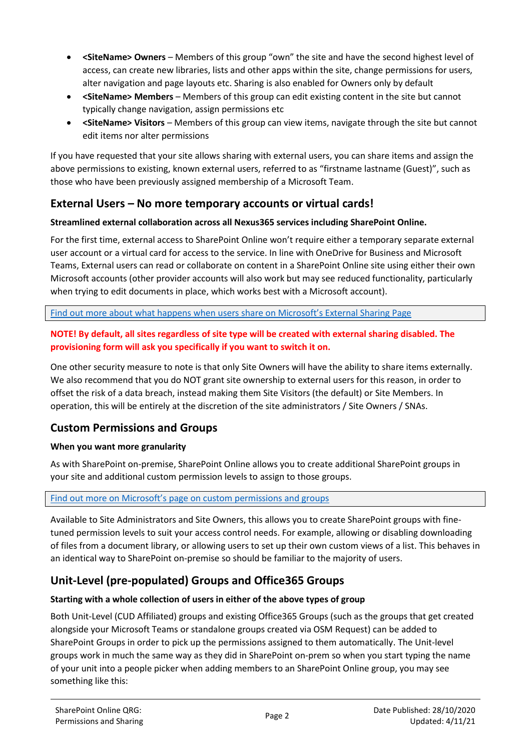- **<SiteName> Owners** Members of this group "own" the site and have the second highest level of access, can create new libraries, lists and other apps within the site, change permissions for users, alter navigation and page layouts etc. Sharing is also enabled for Owners only by default
- **•** < SiteName> Members Members of this group can edit existing content in the site but cannot typically change navigation, assign permissions etc
- **<SiteName> Visitors** Members of this group can view items, navigate through the site but cannot edit items nor alter permissions

If you have requested that your site allows sharing with external users, you can share items and assign the above permissions to existing, known external users, referred to as "firstname lastname (Guest)", such as those who have been previously assigned membership of a Microsoft Team.

## **External Users – No more temporary accounts or virtual cards!**

## **Streamlined external collaboration across all Nexus365 services including SharePoint Online.**

For the first time, external access to SharePoint Online won't require either a temporary separate external user account or a virtual card for access to the service. In line with OneDrive for Business and Microsoft Teams, External users can read or collaborate on content in a SharePoint Online site using either their own Microsoft accounts (other provider accounts will also work but may see reduced functionality, particularly when trying to edit documents in place, which works best with a Microsoft account).

[Find out more about what happens when users share on M](https://docs.microsoft.com/en-us/sharepoint/external-sharing-overview)icrosoft's External Sharing Page

## **NOTE! By default, all sites regardless of site type will be created with external sharing disabled. The provisioning form will ask you specifically if you want to switch it on.**

One other security measure to note is that only Site Owners will have the ability to share items externally. We also recommend that you do NOT grant site ownership to external users for this reason, in order to offset the risk of a data breach, instead making them Site Visitors (the default) or Site Members. In operation, this will be entirely at the discretion of the site administrators / Site Owners / SNAs.

## **Custom Permissions and Groups**

## **When you want more granularity**

As with SharePoint on-premise, SharePoint Online allows you to create additional SharePoint groups in your site and additional custom permission levels to assign to those groups.

#### Find out more on M[icrosoft's page on custom permissions and groups](https://docs.microsoft.com/en-us/sharepoint/customize-sharepoint-site-permissions)

Available to Site Administrators and Site Owners, this allows you to create SharePoint groups with finetuned permission levels to suit your access control needs. For example, allowing or disabling downloading of files from a document library, or allowing users to set up their own custom views of a list. This behaves in an identical way to SharePoint on-premise so should be familiar to the majority of users.

# **Unit-Level (pre-populated) Groups and Office365 Groups**

## **Starting with a whole collection of users in either of the above types of group**

Both Unit-Level (CUD Affiliated) groups and existing Office365 Groups (such as the groups that get created alongside your Microsoft Teams or standalone groups created via OSM Request) can be added to SharePoint Groups in order to pick up the permissions assigned to them automatically. The Unit-level groups work in much the same way as they did in SharePoint on-prem so when you start typing the name of your unit into a people picker when adding members to an SharePoint Online group, you may see something like this: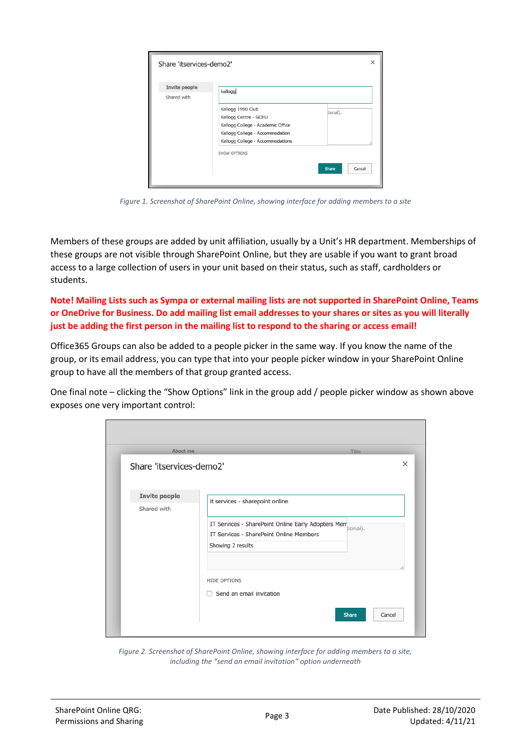| Share 'itservices-demo2' |                                   | ×               |
|--------------------------|-----------------------------------|-----------------|
| Invite people            | kellogg                           |                 |
| Shared with              |                                   |                 |
|                          | Kellogg 1990 Club                 | tional).        |
|                          | Kellogg Centre - GCHU             |                 |
|                          | Kellogg College - Academic Office |                 |
|                          | Kellogg College - Accommodation   |                 |
|                          | Kellogg College - Accommodations  |                 |
|                          | SHOW OPTIONS                      |                 |
|                          |                                   |                 |
|                          |                                   | Share<br>Cancel |

*Figure 1. Screenshot of SharePoint Online, showing interface for adding members to a site*

Members of these groups are added by unit affiliation, usually by a Unit's HR department. Memberships of these groups are not visible through SharePoint Online, but they are usable if you want to grant broad access to a large collection of users in your unit based on their status, such as staff, cardholders or students.

**Note! Mailing Lists such as Sympa or external mailing lists are not supported in SharePoint Online, Teams or OneDrive for Business. Do add mailing list email addresses to your shares or sites as you will literally just be adding the first person in the mailing list to respond to the sharing or access email!** 

Office365 Groups can also be added to a people picker in the same way. If you know the name of the group, or its email address, you can type that into your people picker window in your SharePoint Online group to have all the members of that group granted access.

One final note – clicking the "Show Options" link in the group add / people picker window as shown above exposes one very important control:

| About me                     | Title                                                        |        |
|------------------------------|--------------------------------------------------------------|--------|
| Share 'itservices-demo2'     |                                                              | ×      |
| Invite people<br>Shared with | it services - sharepoint online                              |        |
|                              | IT Services - SharePoint Online Early Adopters Membronal).   |        |
|                              | IT Services - SharePoint Online Members<br>Showing 2 results |        |
|                              |                                                              |        |
|                              | HIDE OPTIONS                                                 | 1,     |
|                              | Send an email invitation                                     |        |
|                              | Share                                                        | Cancel |

*Figure 2. Screenshot of SharePoint Online, showing interface for adding members to a site, including the "send an email invitation" option underneath*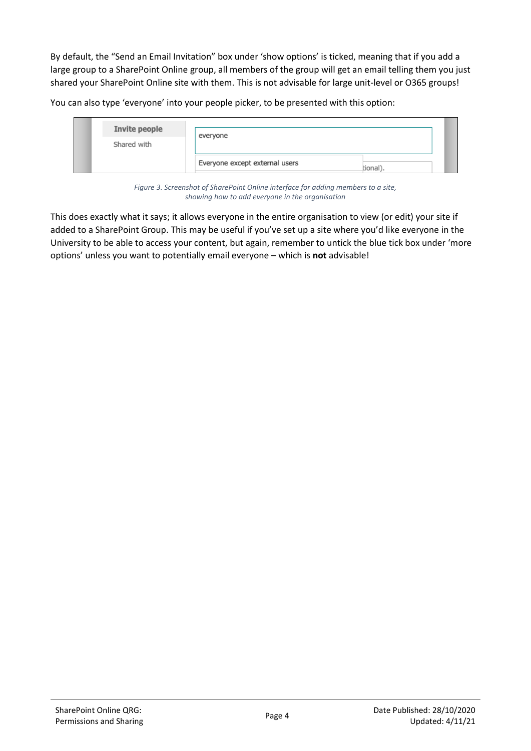By default, the "Send an Email Invitation" box under 'show options' is ticked, meaning that if you add a large group to a SharePoint Online group, all members of the group will get an email telling them you just shared your SharePoint Online site with them. This is not advisable for large unit-level or O365 groups!

You can also type 'everyone' into your people picker, to be presented with this option:

| Invite people<br>Shared with | everyone                       |          |
|------------------------------|--------------------------------|----------|
|                              | Everyone except external users | tional). |

*Figure 3. Screenshot of SharePoint Online interface for adding members to a site, showing how to add everyone in the organisation*

This does exactly what it says; it allows everyone in the entire organisation to view (or edit) your site if added to a SharePoint Group. This may be useful if you've set up a site where you'd like everyone in the University to be able to access your content, but again, remember to untick the blue tick box under 'more options' unless you want to potentially email everyone – which is **not** advisable!